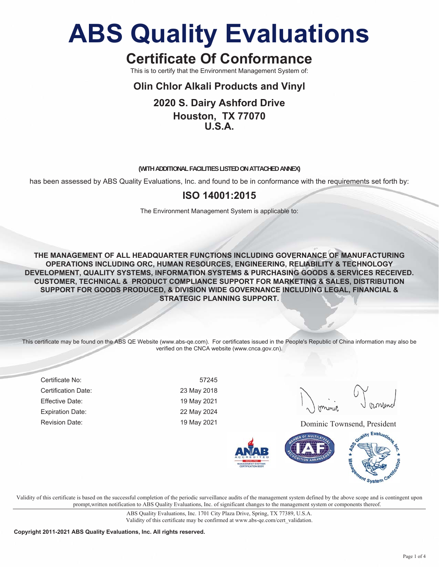## **Certificate Of Conformance**

This is to certify that the Environment Management System of:

### **Olin Chlor Alkali Products and Vinyl**

### **2020 S. Dairy Ashford Drive Houston, TX 77070 U.S.A.**

#### **(WITH ADDITIONAL FACILITIES LISTED ON ATTACHED ANNEX)**

has been assessed by ABS Quality Evaluations, Inc. and found to be in conformance with the requirements set forth by:

### **ISO 14001:2015**

The Environment Management System is applicable to:

**THE MANAGEMENT OF ALL HEADQUARTER FUNCTIONS INCLUDING GOVERNANCE OF MANUFACTURING OPERATIONS INCLUDING ORC, HUMAN RESOURCES, ENGINEERING, RELIABILITY & TECHNOLOGY DEVELOPMENT, QUALITY SYSTEMS, INFORMATION SYSTEMS & PURCHASING GOODS & SERVICES RECEIVED. CUSTOMER, TECHNICAL & PRODUCT COMPLIANCE SUPPORT FOR MARKETING & SALES, DISTRIBUTION SUPPORT FOR GOODS PRODUCED, & DIVISION WIDE GOVERNANCE INCLUDING LEGAL, FINANCIAL & STRATEGIC PLANNING SUPPORT.**

This certificate may be found on the ABS QE Website (www.abs-qe.com). For certificates issued in the People's Republic of China information may also be verified on the CNCA website (www.cnca.gov.cn).

Certificate No: 57245 Certification Date: 23 May 2018 Effective Date: 19 May 2021 Expiration Date: 22 May 2024

Revision Date: The Contract of the May 2021 May 2021 2021 Dominic Townsend, President



Validity of this certificate is based on the successful completion of the periodic surveillance audits of the management system defined by the above scope and is contingent upon prompt,written notification to ABS Quality Evaluations, Inc. of significant changes to the management system or components thereof.

> ABS Quality Evaluations, Inc. 1701 City Plaza Drive, Spring, TX 77389, U.S.A. Validity of this certificate may be confirmed at www.abs-qe.com/cert\_validation.

**Copyright 2011-2021 ABS Quality Evaluations, Inc. All rights reserved.**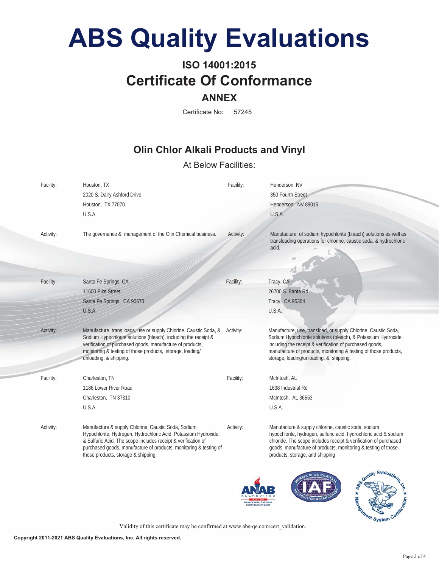## **ISO 14001:2015 Certificate Of Conformance ANNEX**

Certificate No: 57245

### **Olin Chlor Alkali Products and Vinyl**

### At Below Facilities:

| Facility: | Houston, TX<br>2020 S. Dairy Ashford Drive<br>Houston, TX 77070<br>U.S.A.                                                                                                                                                                                                                           | Facility: | Henderson, NV<br>350 Fourth Street<br>Henderson, NV 89015<br>U.S.A.                                                                                                                                                                                                                                         |
|-----------|-----------------------------------------------------------------------------------------------------------------------------------------------------------------------------------------------------------------------------------------------------------------------------------------------------|-----------|-------------------------------------------------------------------------------------------------------------------------------------------------------------------------------------------------------------------------------------------------------------------------------------------------------------|
| Activity: | The governance & management of the Olin Chemical business.                                                                                                                                                                                                                                          | Activity: | Manufacture of sodium hypochlorite (bleach) solutions as well as<br>transloading operations for chlorine, caustic soda, & hydrochloric<br>acid.                                                                                                                                                             |
| Facility: | Santa Fe Springs, CA<br>11600 Pike Street<br>Santa Fe Springs, CA 90670<br>U.S.A.                                                                                                                                                                                                                   | Facility: | Tracy, CA<br>26700 S. Banta Rd<br>Tracy, CA 95304<br>U.S.A.                                                                                                                                                                                                                                                 |
| Activity: | Manufacture, trans loads, use or supply Chlorine, Caustic Soda, &<br>Sodium Hypochlorite solutions (bleach), including the receipt &<br>verification of purchased goods, manufacture of products,<br>monitoring & testing of those products, storage, loading/<br>unloading, & shipping.            | Activity: | Manufacture, use, transload, or supply Chlorine, Caustic Soda,<br>Sodium Hypochlorite solutions (bleach), & Potassium Hydroxide,<br>including the receipt & verification of purchased goods,<br>manufacture of products, monitoring & testing of those products,<br>storage, loading/unloading, & shipping. |
| Facility: | Charleston, TN<br>1186 Lower River Road<br>Charleston, TN 37310<br>U.S.A.                                                                                                                                                                                                                           | Facility: | McIntosh, AL<br>1638 Industrial Rd<br>McIntosh, AL 36553<br>U.S.A.                                                                                                                                                                                                                                          |
| Activity: | Manufacture & supply Chlorine, Caustic Soda, Sodium<br>Hypochlorite, Hydrogen, Hydrochloric Acid, Potassium Hydroxide,<br>& Sulfuric Acid. The scope includes receipt & verification of<br>purchased goods, manufacture of products, monitoring & testing of<br>those products, storage & shipping. | Activity: | Manufacture & supply chlorine, caustic soda, sodium<br>hypochlorite, hydrogen, sulfuric acid, hydrochloric acid & sodium<br>chloride. The scope includes receipt & verification of purchased<br>goods, manufacture of products, monitoring & testing of those<br>products, storage, and shipping            |





Validity of this certificate may be confirmed at www.abs-qe.com/cert\_validation.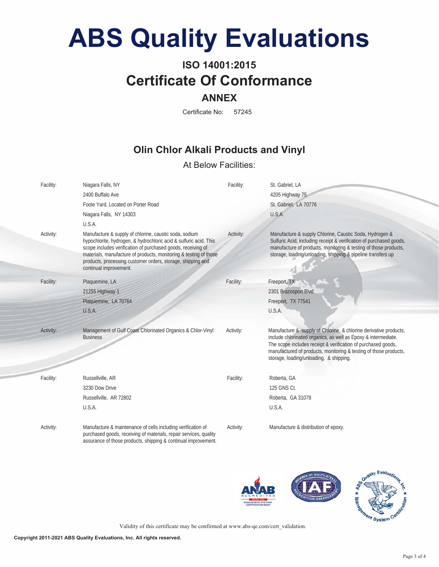## **ISO 14001:2015 Certificate Of Conformance ANNEX**

#### Certificate No: 57245

### **Olin Chlor Alkali Products and Vinyl**

### At Below Facilities:

| Facility: | Niagara Falls, NY                                                                                                                                                                                                                                                                                                                                         | Facility: | St. Gabriel, LA                                                                                                                                                                                                                                                                                                      |
|-----------|-----------------------------------------------------------------------------------------------------------------------------------------------------------------------------------------------------------------------------------------------------------------------------------------------------------------------------------------------------------|-----------|----------------------------------------------------------------------------------------------------------------------------------------------------------------------------------------------------------------------------------------------------------------------------------------------------------------------|
|           | 2400 Buffalo Ave                                                                                                                                                                                                                                                                                                                                          |           | 4205 Highway 75                                                                                                                                                                                                                                                                                                      |
|           | Foote Yard, Located on Porter Road                                                                                                                                                                                                                                                                                                                        |           | St. Gabriel, LA 70776                                                                                                                                                                                                                                                                                                |
|           | Niagara Falls, NY 14303                                                                                                                                                                                                                                                                                                                                   |           | U.S.A.                                                                                                                                                                                                                                                                                                               |
|           | U.S.A.                                                                                                                                                                                                                                                                                                                                                    |           |                                                                                                                                                                                                                                                                                                                      |
| Activity: | Manufacture & supply of chlorine, caustic soda, sodium<br>hypochlorite, hydrogen, & hydrochloric acid & sulfuric acid. This<br>scope includes verification of purchased goods, receiving of<br>materials, manufacture of products, monitoring & testing of those<br>products, processing customer orders, storage, shipping and<br>continual improvement. | Activity: | Manufacture & supply Chlorine, Caustic Soda, Hydrogen &<br>Sulfuric Acid, including receipt & verification of purchased goods,<br>manufacture of products, monitoring & testing of those products,<br>storage, loading/unloading, shipping & pipeline transfers up                                                   |
| Facility: | Plaquemine, LA                                                                                                                                                                                                                                                                                                                                            | Facility: | Freeport, TX                                                                                                                                                                                                                                                                                                         |
|           | 21255 Highway 1                                                                                                                                                                                                                                                                                                                                           |           | 2301 Brazosport Blvd                                                                                                                                                                                                                                                                                                 |
|           | Plaquemine, LA 70764                                                                                                                                                                                                                                                                                                                                      |           | Freeport, TX 77541                                                                                                                                                                                                                                                                                                   |
|           | U.S.A.                                                                                                                                                                                                                                                                                                                                                    |           | U.S.A.                                                                                                                                                                                                                                                                                                               |
|           |                                                                                                                                                                                                                                                                                                                                                           |           |                                                                                                                                                                                                                                                                                                                      |
| Activity: | Management of Gulf Coast Chlorinated Organics & Chlor-Vinyl<br><b>Business</b>                                                                                                                                                                                                                                                                            | Activity: | Manufacture & supply of Chlorine, & chlorine derivative products,<br>include chlorinated organics, as well as Epoxy & intermediate.<br>The scope includes receipt & verification of purchased goods,<br>manufactured of products, monitoring & testing of those products,<br>storage, loading/unloading, & shipping. |
| Facility: | Russellville, AR                                                                                                                                                                                                                                                                                                                                          | Facility: | Roberta, GA                                                                                                                                                                                                                                                                                                          |
|           | 3230 Dow Drive                                                                                                                                                                                                                                                                                                                                            |           | 125 GNS Ct.                                                                                                                                                                                                                                                                                                          |
|           | Russellville, AR 72802                                                                                                                                                                                                                                                                                                                                    |           | Roberta, GA 31078                                                                                                                                                                                                                                                                                                    |
|           | U.S.A.                                                                                                                                                                                                                                                                                                                                                    |           | U.S.A.                                                                                                                                                                                                                                                                                                               |
| Activity: | Manufacture & maintenance of cells including verification of<br>purchased goods, receiving of materials, repair services, quality<br>assurance of those products, shipping & continual improvement.                                                                                                                                                       | Activity: | Manufacture & distribution of epoxy.                                                                                                                                                                                                                                                                                 |





Validity of this certificate may be confirmed at www.abs-qe.com/cert\_validation.